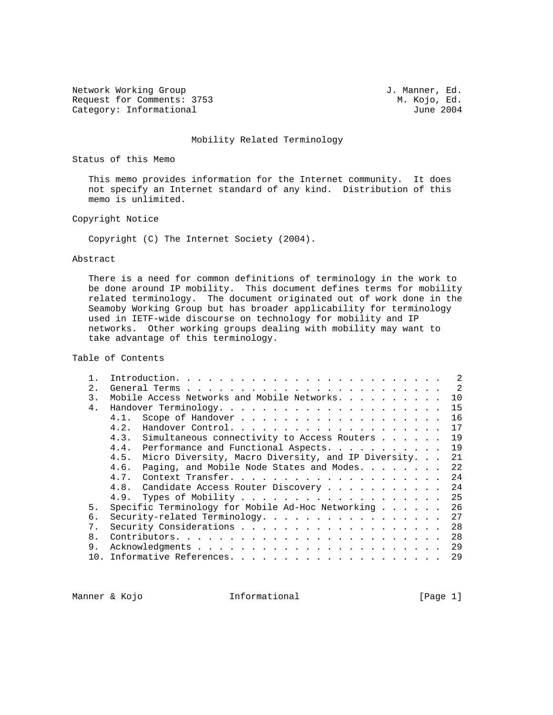Network Working Group and Section 1. Manner, Ed. Request for Comments: 3753 M. Kojo, Ed. (2004) M. Kojo, Ed. (2004) M. Kojo, Ed. (2004) Category: Informational

## Mobility Related Terminology

Status of this Memo

 This memo provides information for the Internet community. It does not specify an Internet standard of any kind. Distribution of this memo is unlimited.

Copyright Notice

Copyright (C) The Internet Society (2004).

## Abstract

 There is a need for common definitions of terminology in the work to be done around IP mobility. This document defines terms for mobility related terminology. The document originated out of work done in the Seamoby Working Group but has broader applicability for terminology used in IETF-wide discourse on technology for mobility and IP networks. Other working groups dealing with mobility may want to take advantage of this terminology.

Table of Contents

|     | $\mathcal{L}$                                                     |
|-----|-------------------------------------------------------------------|
| 2.1 | $\overline{2}$                                                    |
| 3.  | Mobile Access Networks and Mobile Networks.<br>10                 |
| 4.  | 15                                                                |
|     | 16<br>4.1.                                                        |
|     | 17<br>4.2.                                                        |
|     | Simultaneous connectivity to Access Routers<br>19<br>4.3.         |
|     | 19<br>Performance and Functional Aspects.<br>4.4.                 |
|     | Micro Diversity, Macro Diversity, and IP Diversity.<br>21<br>4.5. |
|     | Paging, and Mobile Node States and Modes.<br>22<br>4.6.           |
|     | 24<br>4.7.                                                        |
|     | 24<br>Candidate Access Router Discovery<br>4.8.                   |
|     | 25<br>4.9.                                                        |
| 5.  | Specific Terminology for Mobile Ad-Hoc Networking $\ldots$<br>26  |
| б.  | Security-related Terminology.<br>27                               |
| 7.  | 28                                                                |
| 8.  | 28                                                                |
| 9.  | 29                                                                |
| 10. | 29                                                                |
|     |                                                                   |

Manner & Kojo **Informational** [Page 1]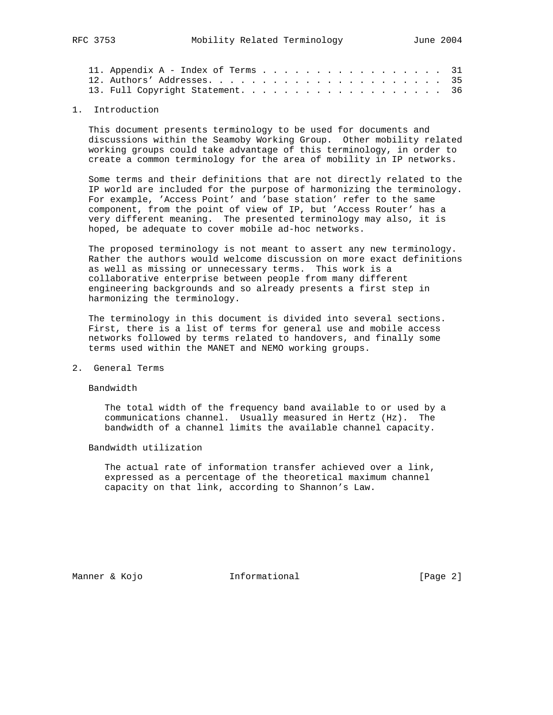|  | 11. Appendix $A - Index$ of Terms 31 |  |  |  |  |  |  |  |  |  |  |  |
|--|--------------------------------------|--|--|--|--|--|--|--|--|--|--|--|
|  |                                      |  |  |  |  |  |  |  |  |  |  |  |
|  | 13. Full Copyright Statement. 36     |  |  |  |  |  |  |  |  |  |  |  |

## 1. Introduction

 This document presents terminology to be used for documents and discussions within the Seamoby Working Group. Other mobility related working groups could take advantage of this terminology, in order to create a common terminology for the area of mobility in IP networks.

 Some terms and their definitions that are not directly related to the IP world are included for the purpose of harmonizing the terminology. For example, 'Access Point' and 'base station' refer to the same component, from the point of view of IP, but 'Access Router' has a very different meaning. The presented terminology may also, it is hoped, be adequate to cover mobile ad-hoc networks.

 The proposed terminology is not meant to assert any new terminology. Rather the authors would welcome discussion on more exact definitions as well as missing or unnecessary terms. This work is a collaborative enterprise between people from many different engineering backgrounds and so already presents a first step in harmonizing the terminology.

 The terminology in this document is divided into several sections. First, there is a list of terms for general use and mobile access networks followed by terms related to handovers, and finally some terms used within the MANET and NEMO working groups.

2. General Terms

Bandwidth

 The total width of the frequency band available to or used by a communications channel. Usually measured in Hertz (Hz). The bandwidth of a channel limits the available channel capacity.

Bandwidth utilization

 The actual rate of information transfer achieved over a link, expressed as a percentage of the theoretical maximum channel capacity on that link, according to Shannon's Law.

Manner & Kojo **Informational Informational** [Page 2]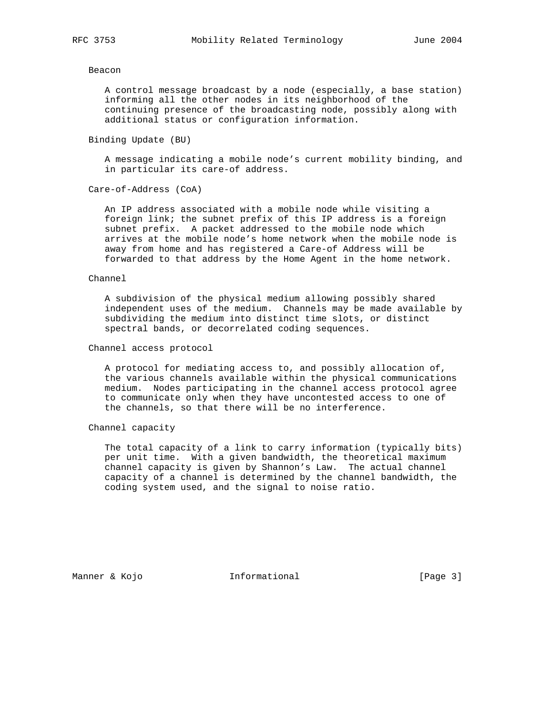#### Beacon

 A control message broadcast by a node (especially, a base station) informing all the other nodes in its neighborhood of the continuing presence of the broadcasting node, possibly along with additional status or configuration information.

Binding Update (BU)

 A message indicating a mobile node's current mobility binding, and in particular its care-of address.

Care-of-Address (CoA)

 An IP address associated with a mobile node while visiting a foreign link; the subnet prefix of this IP address is a foreign subnet prefix. A packet addressed to the mobile node which arrives at the mobile node's home network when the mobile node is away from home and has registered a Care-of Address will be forwarded to that address by the Home Agent in the home network.

## Channel

 A subdivision of the physical medium allowing possibly shared independent uses of the medium. Channels may be made available by subdividing the medium into distinct time slots, or distinct spectral bands, or decorrelated coding sequences.

Channel access protocol

 A protocol for mediating access to, and possibly allocation of, the various channels available within the physical communications medium. Nodes participating in the channel access protocol agree to communicate only when they have uncontested access to one of the channels, so that there will be no interference.

Channel capacity

 The total capacity of a link to carry information (typically bits) per unit time. With a given bandwidth, the theoretical maximum channel capacity is given by Shannon's Law. The actual channel capacity of a channel is determined by the channel bandwidth, the coding system used, and the signal to noise ratio.

Manner & Kojo **Informational Informational** [Page 3]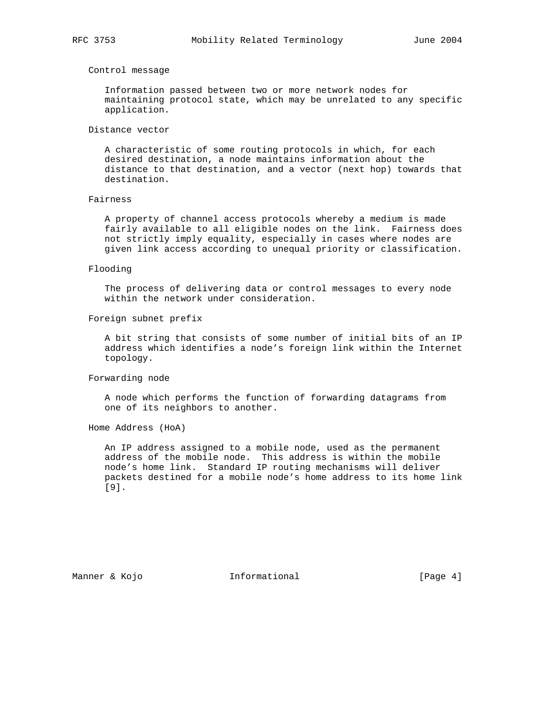## Control message

 Information passed between two or more network nodes for maintaining protocol state, which may be unrelated to any specific application.

#### Distance vector

 A characteristic of some routing protocols in which, for each desired destination, a node maintains information about the distance to that destination, and a vector (next hop) towards that destination.

#### Fairness

 A property of channel access protocols whereby a medium is made fairly available to all eligible nodes on the link. Fairness does not strictly imply equality, especially in cases where nodes are given link access according to unequal priority or classification.

#### Flooding

 The process of delivering data or control messages to every node within the network under consideration.

## Foreign subnet prefix

 A bit string that consists of some number of initial bits of an IP address which identifies a node's foreign link within the Internet topology.

#### Forwarding node

 A node which performs the function of forwarding datagrams from one of its neighbors to another.

Home Address (HoA)

 An IP address assigned to a mobile node, used as the permanent address of the mobile node. This address is within the mobile node's home link. Standard IP routing mechanisms will deliver packets destined for a mobile node's home address to its home link [9].

Manner & Kojo **Informational Informational** [Page 4]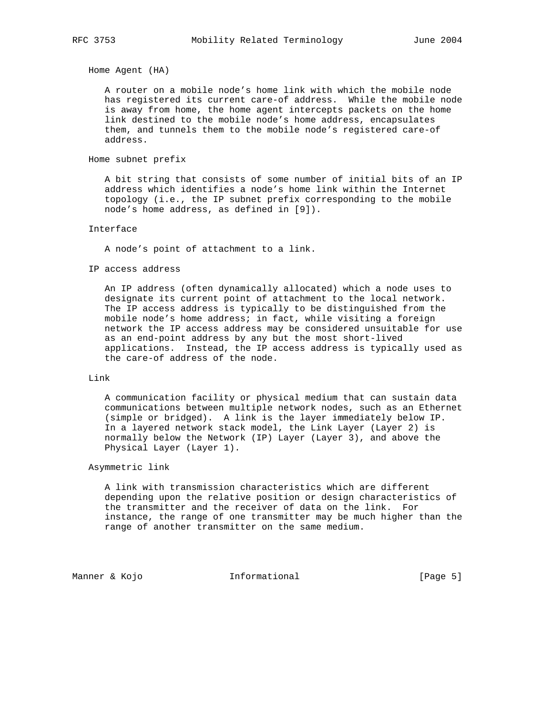Home Agent (HA)

 A router on a mobile node's home link with which the mobile node has registered its current care-of address. While the mobile node is away from home, the home agent intercepts packets on the home link destined to the mobile node's home address, encapsulates them, and tunnels them to the mobile node's registered care-of address.

## Home subnet prefix

 A bit string that consists of some number of initial bits of an IP address which identifies a node's home link within the Internet topology (i.e., the IP subnet prefix corresponding to the mobile node's home address, as defined in [9]).

## Interface

A node's point of attachment to a link.

#### IP access address

 An IP address (often dynamically allocated) which a node uses to designate its current point of attachment to the local network. The IP access address is typically to be distinguished from the mobile node's home address; in fact, while visiting a foreign network the IP access address may be considered unsuitable for use as an end-point address by any but the most short-lived applications. Instead, the IP access address is typically used as the care-of address of the node.

## Link

 A communication facility or physical medium that can sustain data communications between multiple network nodes, such as an Ethernet (simple or bridged). A link is the layer immediately below IP. In a layered network stack model, the Link Layer (Layer 2) is normally below the Network (IP) Layer (Layer 3), and above the Physical Layer (Layer 1).

### Asymmetric link

 A link with transmission characteristics which are different depending upon the relative position or design characteristics of the transmitter and the receiver of data on the link. For instance, the range of one transmitter may be much higher than the range of another transmitter on the same medium.

Manner & Kojo **Informational Informational** [Page 5]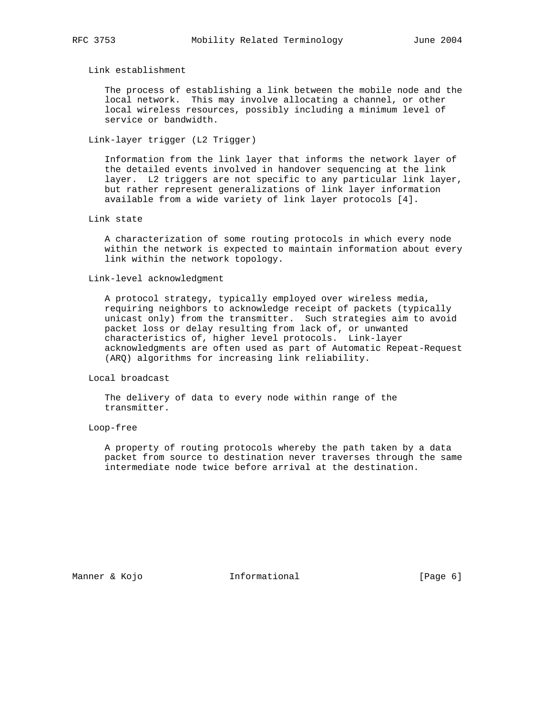Link establishment

 The process of establishing a link between the mobile node and the local network. This may involve allocating a channel, or other local wireless resources, possibly including a minimum level of service or bandwidth.

Link-layer trigger (L2 Trigger)

 Information from the link layer that informs the network layer of the detailed events involved in handover sequencing at the link layer. L2 triggers are not specific to any particular link layer, but rather represent generalizations of link layer information available from a wide variety of link layer protocols [4].

Link state

 A characterization of some routing protocols in which every node within the network is expected to maintain information about every link within the network topology.

Link-level acknowledgment

 A protocol strategy, typically employed over wireless media, requiring neighbors to acknowledge receipt of packets (typically unicast only) from the transmitter. Such strategies aim to avoid packet loss or delay resulting from lack of, or unwanted characteristics of, higher level protocols. Link-layer acknowledgments are often used as part of Automatic Repeat-Request (ARQ) algorithms for increasing link reliability.

Local broadcast

 The delivery of data to every node within range of the transmitter.

Loop-free

 A property of routing protocols whereby the path taken by a data packet from source to destination never traverses through the same intermediate node twice before arrival at the destination.

Manner & Kojo **Informational Informational** [Page 6]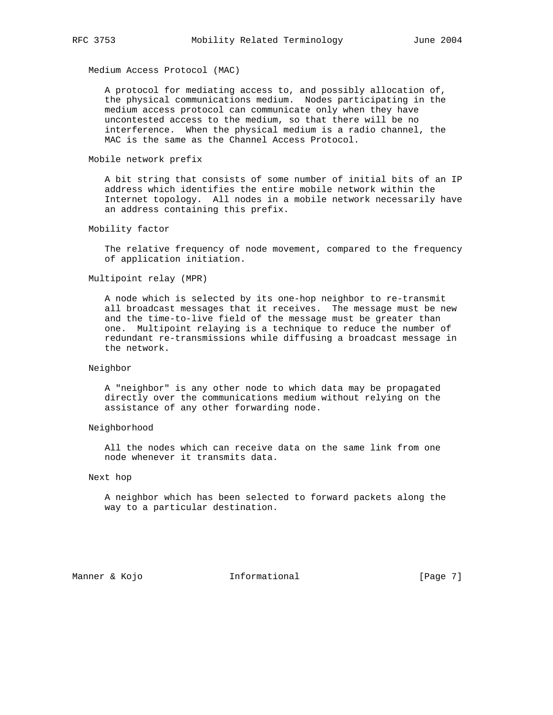Medium Access Protocol (MAC)

 A protocol for mediating access to, and possibly allocation of, the physical communications medium. Nodes participating in the medium access protocol can communicate only when they have uncontested access to the medium, so that there will be no interference. When the physical medium is a radio channel, the MAC is the same as the Channel Access Protocol.

## Mobile network prefix

 A bit string that consists of some number of initial bits of an IP address which identifies the entire mobile network within the Internet topology. All nodes in a mobile network necessarily have an address containing this prefix.

## Mobility factor

 The relative frequency of node movement, compared to the frequency of application initiation.

## Multipoint relay (MPR)

 A node which is selected by its one-hop neighbor to re-transmit all broadcast messages that it receives. The message must be new and the time-to-live field of the message must be greater than one. Multipoint relaying is a technique to reduce the number of redundant re-transmissions while diffusing a broadcast message in the network.

## Neighbor

 A "neighbor" is any other node to which data may be propagated directly over the communications medium without relying on the assistance of any other forwarding node.

## Neighborhood

 All the nodes which can receive data on the same link from one node whenever it transmits data.

#### Next hop

 A neighbor which has been selected to forward packets along the way to a particular destination.

Manner & Kojo **Informational Informational** [Page 7]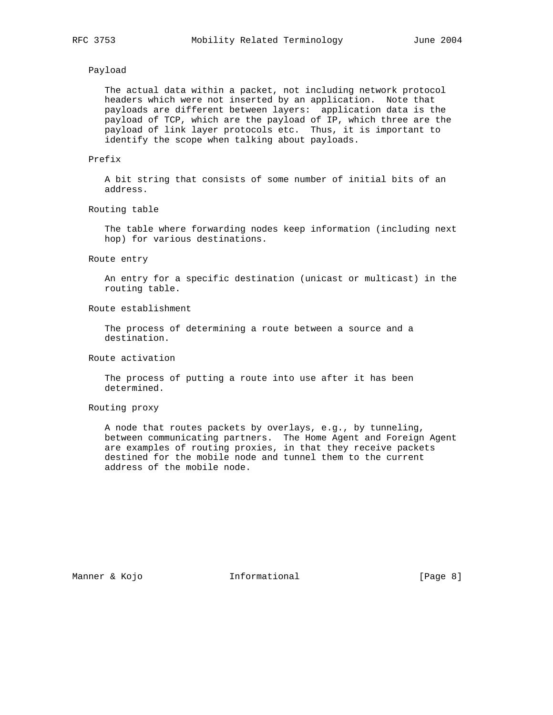## Payload

 The actual data within a packet, not including network protocol headers which were not inserted by an application. Note that payloads are different between layers: application data is the payload of TCP, which are the payload of IP, which three are the payload of link layer protocols etc. Thus, it is important to identify the scope when talking about payloads.

## Prefix

 A bit string that consists of some number of initial bits of an address.

#### Routing table

 The table where forwarding nodes keep information (including next hop) for various destinations.

#### Route entry

 An entry for a specific destination (unicast or multicast) in the routing table.

## Route establishment

 The process of determining a route between a source and a destination.

## Route activation

 The process of putting a route into use after it has been determined.

## Routing proxy

 A node that routes packets by overlays, e.g., by tunneling, between communicating partners. The Home Agent and Foreign Agent are examples of routing proxies, in that they receive packets destined for the mobile node and tunnel them to the current address of the mobile node.

Manner & Kojo **Informational Informational** [Page 8]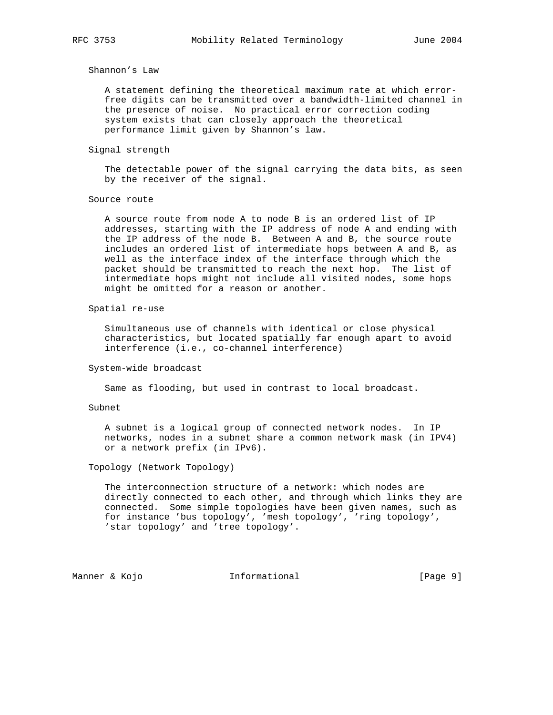## Shannon's Law

 A statement defining the theoretical maximum rate at which error free digits can be transmitted over a bandwidth-limited channel in the presence of noise. No practical error correction coding system exists that can closely approach the theoretical performance limit given by Shannon's law.

#### Signal strength

 The detectable power of the signal carrying the data bits, as seen by the receiver of the signal.

## Source route

 A source route from node A to node B is an ordered list of IP addresses, starting with the IP address of node A and ending with the IP address of the node B. Between A and B, the source route includes an ordered list of intermediate hops between A and B, as well as the interface index of the interface through which the packet should be transmitted to reach the next hop. The list of intermediate hops might not include all visited nodes, some hops might be omitted for a reason or another.

#### Spatial re-use

 Simultaneous use of channels with identical or close physical characteristics, but located spatially far enough apart to avoid interference (i.e., co-channel interference)

## System-wide broadcast

Same as flooding, but used in contrast to local broadcast.

#### Subnet

 A subnet is a logical group of connected network nodes. In IP networks, nodes in a subnet share a common network mask (in IPV4) or a network prefix (in IPv6).

## Topology (Network Topology)

 The interconnection structure of a network: which nodes are directly connected to each other, and through which links they are connected. Some simple topologies have been given names, such as for instance 'bus topology', 'mesh topology', 'ring topology', 'star topology' and 'tree topology'.

Manner & Kojo **Informational Informational** [Page 9]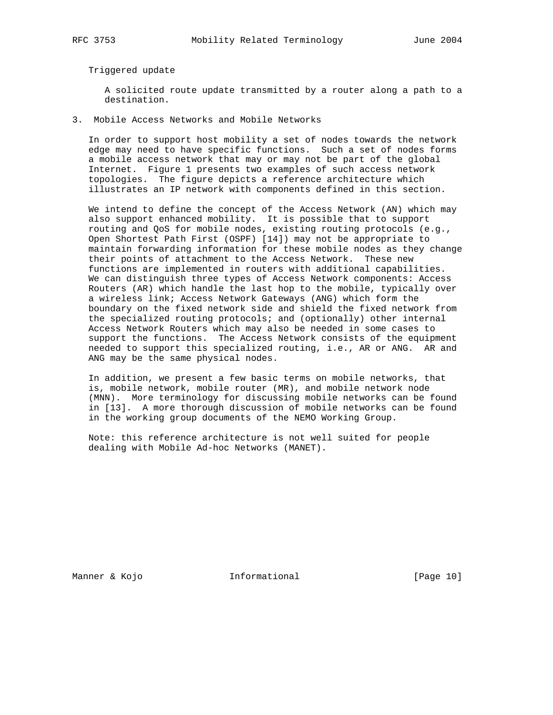Triggered update

 A solicited route update transmitted by a router along a path to a destination.

3. Mobile Access Networks and Mobile Networks

 In order to support host mobility a set of nodes towards the network edge may need to have specific functions. Such a set of nodes forms a mobile access network that may or may not be part of the global Internet. Figure 1 presents two examples of such access network topologies. The figure depicts a reference architecture which illustrates an IP network with components defined in this section.

 We intend to define the concept of the Access Network (AN) which may also support enhanced mobility. It is possible that to support routing and QoS for mobile nodes, existing routing protocols (e.g., Open Shortest Path First (OSPF) [14]) may not be appropriate to maintain forwarding information for these mobile nodes as they change their points of attachment to the Access Network. These new functions are implemented in routers with additional capabilities. We can distinguish three types of Access Network components: Access Routers (AR) which handle the last hop to the mobile, typically over a wireless link; Access Network Gateways (ANG) which form the boundary on the fixed network side and shield the fixed network from the specialized routing protocols; and (optionally) other internal Access Network Routers which may also be needed in some cases to support the functions. The Access Network consists of the equipment needed to support this specialized routing, i.e., AR or ANG. AR and ANG may be the same physical nodes.

 In addition, we present a few basic terms on mobile networks, that is, mobile network, mobile router (MR), and mobile network node (MNN). More terminology for discussing mobile networks can be found in [13]. A more thorough discussion of mobile networks can be found in the working group documents of the NEMO Working Group.

 Note: this reference architecture is not well suited for people dealing with Mobile Ad-hoc Networks (MANET).

Manner & Kojo **Informational** [Page 10]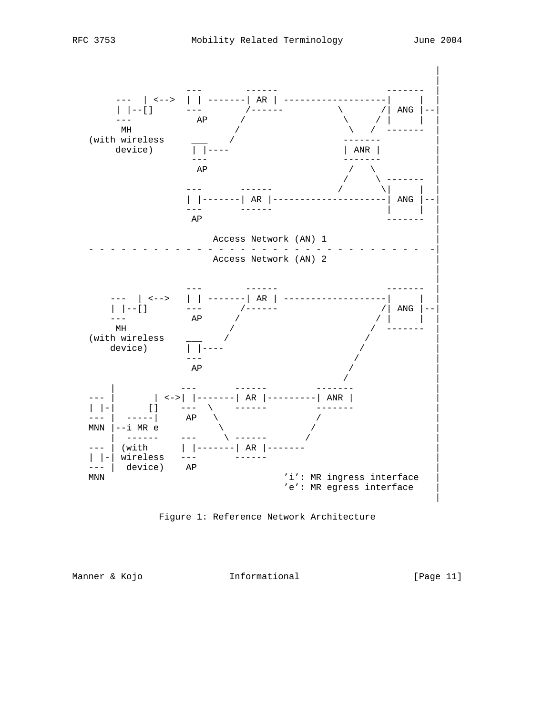



Manner & Kojo **Informational Informational** [Page 11]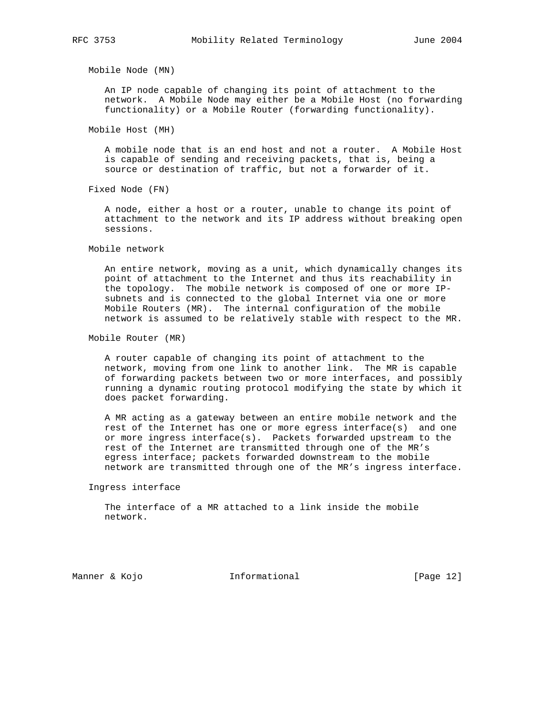Mobile Node (MN)

 An IP node capable of changing its point of attachment to the network. A Mobile Node may either be a Mobile Host (no forwarding functionality) or a Mobile Router (forwarding functionality).

Mobile Host (MH)

 A mobile node that is an end host and not a router. A Mobile Host is capable of sending and receiving packets, that is, being a source or destination of traffic, but not a forwarder of it.

Fixed Node (FN)

 A node, either a host or a router, unable to change its point of attachment to the network and its IP address without breaking open sessions.

Mobile network

 An entire network, moving as a unit, which dynamically changes its point of attachment to the Internet and thus its reachability in the topology. The mobile network is composed of one or more IP subnets and is connected to the global Internet via one or more Mobile Routers (MR). The internal configuration of the mobile network is assumed to be relatively stable with respect to the MR.

Mobile Router (MR)

 A router capable of changing its point of attachment to the network, moving from one link to another link. The MR is capable of forwarding packets between two or more interfaces, and possibly running a dynamic routing protocol modifying the state by which it does packet forwarding.

 A MR acting as a gateway between an entire mobile network and the rest of the Internet has one or more egress interface(s) and one or more ingress interface(s). Packets forwarded upstream to the rest of the Internet are transmitted through one of the MR's egress interface; packets forwarded downstream to the mobile network are transmitted through one of the MR's ingress interface.

Ingress interface

 The interface of a MR attached to a link inside the mobile network.

Manner & Kojo **Informational** [Page 12]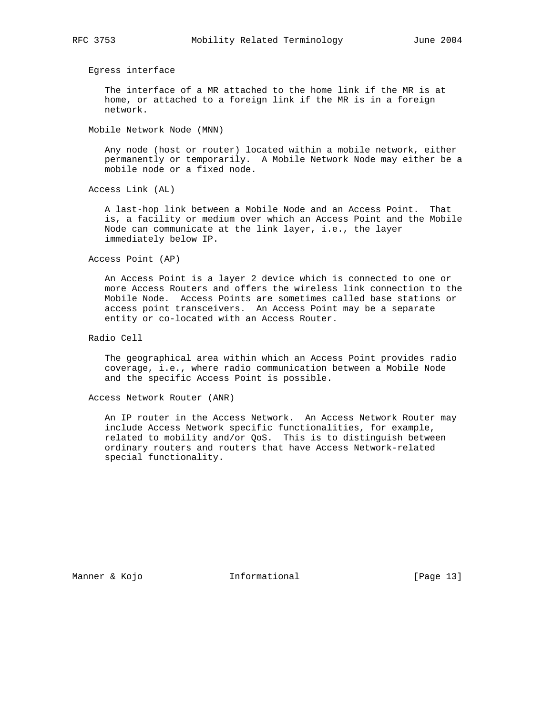Egress interface

 The interface of a MR attached to the home link if the MR is at home, or attached to a foreign link if the MR is in a foreign network.

Mobile Network Node (MNN)

 Any node (host or router) located within a mobile network, either permanently or temporarily. A Mobile Network Node may either be a mobile node or a fixed node.

Access Link (AL)

 A last-hop link between a Mobile Node and an Access Point. That is, a facility or medium over which an Access Point and the Mobile Node can communicate at the link layer, i.e., the layer immediately below IP.

Access Point (AP)

 An Access Point is a layer 2 device which is connected to one or more Access Routers and offers the wireless link connection to the Mobile Node. Access Points are sometimes called base stations or access point transceivers. An Access Point may be a separate entity or co-located with an Access Router.

Radio Cell

 The geographical area within which an Access Point provides radio coverage, i.e., where radio communication between a Mobile Node and the specific Access Point is possible.

Access Network Router (ANR)

 An IP router in the Access Network. An Access Network Router may include Access Network specific functionalities, for example, related to mobility and/or QoS. This is to distinguish between ordinary routers and routers that have Access Network-related special functionality.

Manner & Kojo **Informational** [Page 13]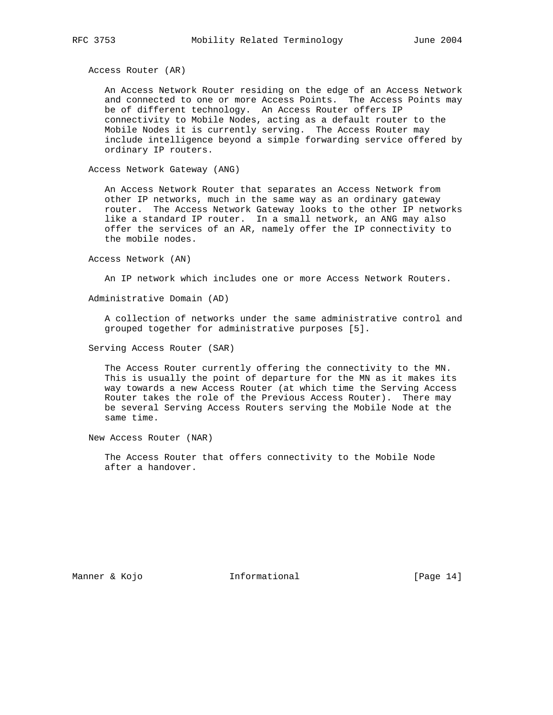Access Router (AR)

 An Access Network Router residing on the edge of an Access Network and connected to one or more Access Points. The Access Points may be of different technology. An Access Router offers IP connectivity to Mobile Nodes, acting as a default router to the Mobile Nodes it is currently serving. The Access Router may include intelligence beyond a simple forwarding service offered by ordinary IP routers.

Access Network Gateway (ANG)

 An Access Network Router that separates an Access Network from other IP networks, much in the same way as an ordinary gateway router. The Access Network Gateway looks to the other IP networks like a standard IP router. In a small network, an ANG may also offer the services of an AR, namely offer the IP connectivity to the mobile nodes.

Access Network (AN)

An IP network which includes one or more Access Network Routers.

Administrative Domain (AD)

 A collection of networks under the same administrative control and grouped together for administrative purposes [5].

Serving Access Router (SAR)

 The Access Router currently offering the connectivity to the MN. This is usually the point of departure for the MN as it makes its way towards a new Access Router (at which time the Serving Access Router takes the role of the Previous Access Router). There may be several Serving Access Routers serving the Mobile Node at the same time.

New Access Router (NAR)

 The Access Router that offers connectivity to the Mobile Node after a handover.

Manner & Kojo **Informational** [Page 14]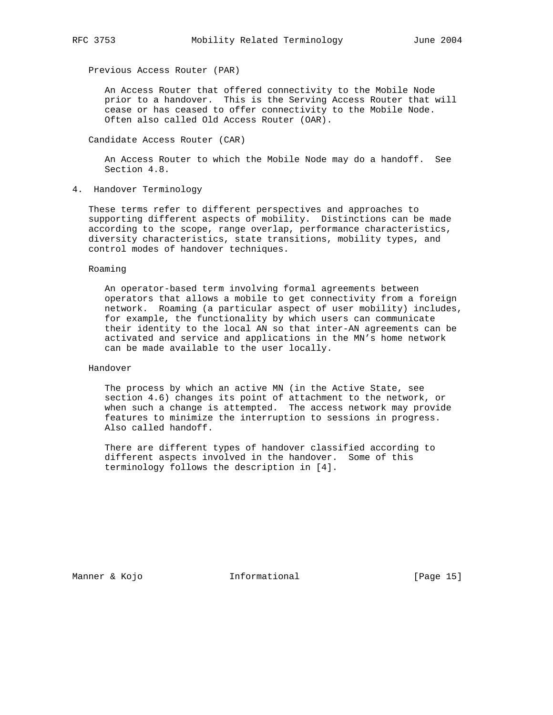Previous Access Router (PAR)

 An Access Router that offered connectivity to the Mobile Node prior to a handover. This is the Serving Access Router that will cease or has ceased to offer connectivity to the Mobile Node. Often also called Old Access Router (OAR).

Candidate Access Router (CAR)

 An Access Router to which the Mobile Node may do a handoff. See Section 4.8.

4. Handover Terminology

 These terms refer to different perspectives and approaches to supporting different aspects of mobility. Distinctions can be made according to the scope, range overlap, performance characteristics, diversity characteristics, state transitions, mobility types, and control modes of handover techniques.

Roaming

 An operator-based term involving formal agreements between operators that allows a mobile to get connectivity from a foreign network. Roaming (a particular aspect of user mobility) includes, for example, the functionality by which users can communicate their identity to the local AN so that inter-AN agreements can be activated and service and applications in the MN's home network can be made available to the user locally.

## Handover

 The process by which an active MN (in the Active State, see section 4.6) changes its point of attachment to the network, or when such a change is attempted. The access network may provide features to minimize the interruption to sessions in progress. Also called handoff.

 There are different types of handover classified according to different aspects involved in the handover. Some of this terminology follows the description in [4].

Manner & Kojo **Informational** [Page 15]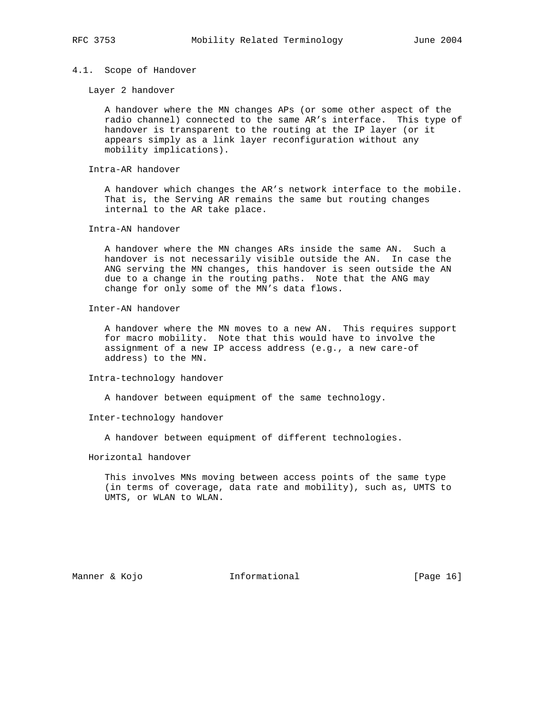### 4.1. Scope of Handover

Layer 2 handover

 A handover where the MN changes APs (or some other aspect of the radio channel) connected to the same AR's interface. This type of handover is transparent to the routing at the IP layer (or it appears simply as a link layer reconfiguration without any mobility implications).

Intra-AR handover

 A handover which changes the AR's network interface to the mobile. That is, the Serving AR remains the same but routing changes internal to the AR take place.

Intra-AN handover

 A handover where the MN changes ARs inside the same AN. Such a handover is not necessarily visible outside the AN. In case the ANG serving the MN changes, this handover is seen outside the AN due to a change in the routing paths. Note that the ANG may change for only some of the MN's data flows.

Inter-AN handover

 A handover where the MN moves to a new AN. This requires support for macro mobility. Note that this would have to involve the assignment of a new IP access address (e.g., a new care-of address) to the MN.

Intra-technology handover

A handover between equipment of the same technology.

Inter-technology handover

A handover between equipment of different technologies.

Horizontal handover

 This involves MNs moving between access points of the same type (in terms of coverage, data rate and mobility), such as, UMTS to UMTS, or WLAN to WLAN.

Manner & Kojo **Informational** [Page 16]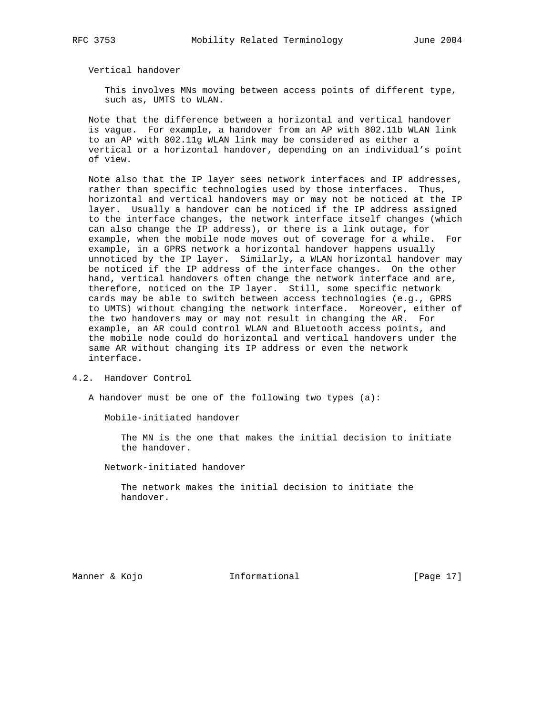Vertical handover

 This involves MNs moving between access points of different type, such as, UMTS to WLAN.

 Note that the difference between a horizontal and vertical handover is vague. For example, a handover from an AP with 802.11b WLAN link to an AP with 802.11g WLAN link may be considered as either a vertical or a horizontal handover, depending on an individual's point of view.

 Note also that the IP layer sees network interfaces and IP addresses, rather than specific technologies used by those interfaces. Thus, horizontal and vertical handovers may or may not be noticed at the IP layer. Usually a handover can be noticed if the IP address assigned to the interface changes, the network interface itself changes (which can also change the IP address), or there is a link outage, for example, when the mobile node moves out of coverage for a while. For example, in a GPRS network a horizontal handover happens usually unnoticed by the IP layer. Similarly, a WLAN horizontal handover may be noticed if the IP address of the interface changes. On the other hand, vertical handovers often change the network interface and are, therefore, noticed on the IP layer. Still, some specific network cards may be able to switch between access technologies (e.g., GPRS to UMTS) without changing the network interface. Moreover, either of the two handovers may or may not result in changing the AR. For example, an AR could control WLAN and Bluetooth access points, and the mobile node could do horizontal and vertical handovers under the same AR without changing its IP address or even the network interface.

4.2. Handover Control

A handover must be one of the following two types (a):

Mobile-initiated handover

 The MN is the one that makes the initial decision to initiate the handover.

Network-initiated handover

 The network makes the initial decision to initiate the handover.

Manner & Kojo **Informational** [Page 17]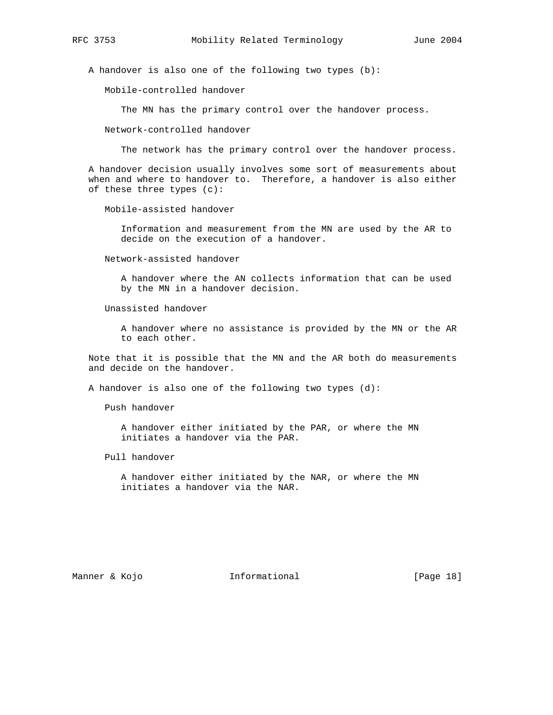A handover is also one of the following two types (b):

Mobile-controlled handover

The MN has the primary control over the handover process.

Network-controlled handover

The network has the primary control over the handover process.

 A handover decision usually involves some sort of measurements about when and where to handover to. Therefore, a handover is also either of these three types (c):

Mobile-assisted handover

 Information and measurement from the MN are used by the AR to decide on the execution of a handover.

Network-assisted handover

 A handover where the AN collects information that can be used by the MN in a handover decision.

Unassisted handover

 A handover where no assistance is provided by the MN or the AR to each other.

 Note that it is possible that the MN and the AR both do measurements and decide on the handover.

A handover is also one of the following two types (d):

Push handover

 A handover either initiated by the PAR, or where the MN initiates a handover via the PAR.

Pull handover

 A handover either initiated by the NAR, or where the MN initiates a handover via the NAR.

Manner & Kojo **Informational** [Page 18]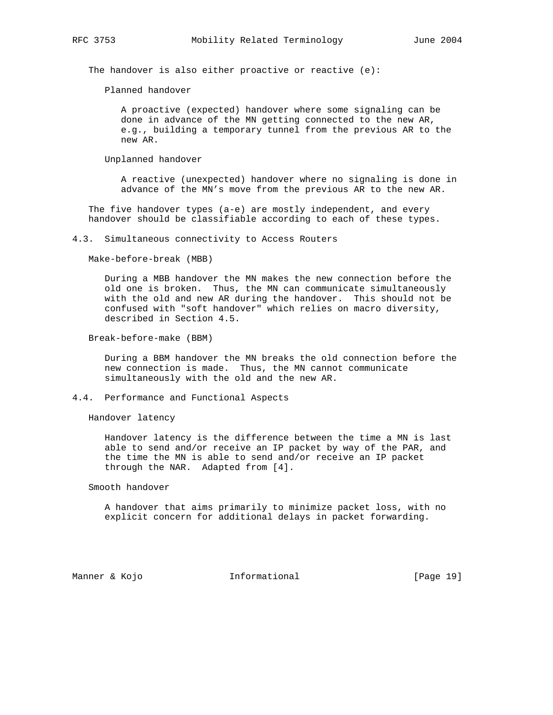The handover is also either proactive or reactive (e):

Planned handover

 A proactive (expected) handover where some signaling can be done in advance of the MN getting connected to the new AR, e.g., building a temporary tunnel from the previous AR to the new AR.

Unplanned handover

 A reactive (unexpected) handover where no signaling is done in advance of the MN's move from the previous AR to the new AR.

 The five handover types (a-e) are mostly independent, and every handover should be classifiable according to each of these types.

4.3. Simultaneous connectivity to Access Routers

Make-before-break (MBB)

 During a MBB handover the MN makes the new connection before the old one is broken. Thus, the MN can communicate simultaneously with the old and new AR during the handover. This should not be confused with "soft handover" which relies on macro diversity, described in Section 4.5.

Break-before-make (BBM)

 During a BBM handover the MN breaks the old connection before the new connection is made. Thus, the MN cannot communicate simultaneously with the old and the new AR.

## 4.4. Performance and Functional Aspects

Handover latency

 Handover latency is the difference between the time a MN is last able to send and/or receive an IP packet by way of the PAR, and the time the MN is able to send and/or receive an IP packet through the NAR. Adapted from [4].

## Smooth handover

 A handover that aims primarily to minimize packet loss, with no explicit concern for additional delays in packet forwarding.

Manner & Kojo **Informational** [Page 19]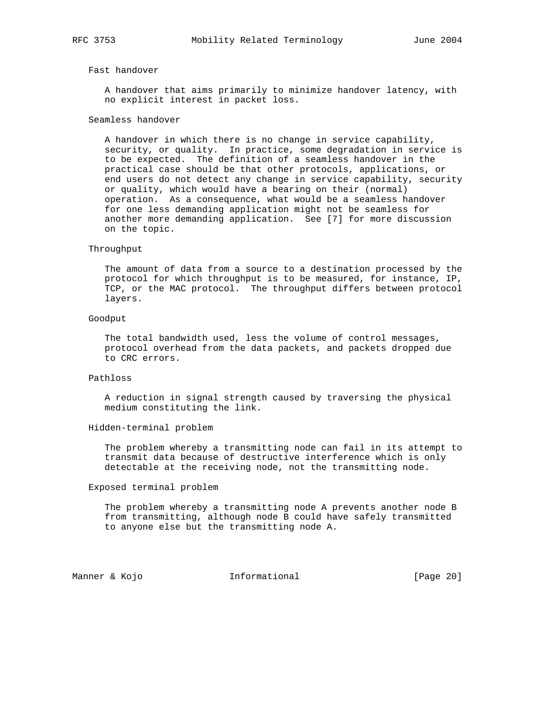## Fast handover

 A handover that aims primarily to minimize handover latency, with no explicit interest in packet loss.

## Seamless handover

 A handover in which there is no change in service capability, security, or quality. In practice, some degradation in service is to be expected. The definition of a seamless handover in the practical case should be that other protocols, applications, or end users do not detect any change in service capability, security or quality, which would have a bearing on their (normal) operation. As a consequence, what would be a seamless handover for one less demanding application might not be seamless for another more demanding application. See [7] for more discussion on the topic.

#### Throughput

 The amount of data from a source to a destination processed by the protocol for which throughput is to be measured, for instance, IP, TCP, or the MAC protocol. The throughput differs between protocol layers.

#### Goodput

 The total bandwidth used, less the volume of control messages, protocol overhead from the data packets, and packets dropped due to CRC errors.

### Pathloss

 A reduction in signal strength caused by traversing the physical medium constituting the link.

#### Hidden-terminal problem

 The problem whereby a transmitting node can fail in its attempt to transmit data because of destructive interference which is only detectable at the receiving node, not the transmitting node.

#### Exposed terminal problem

 The problem whereby a transmitting node A prevents another node B from transmitting, although node B could have safely transmitted to anyone else but the transmitting node A.

Manner & Kojo **Informational** [Page 20]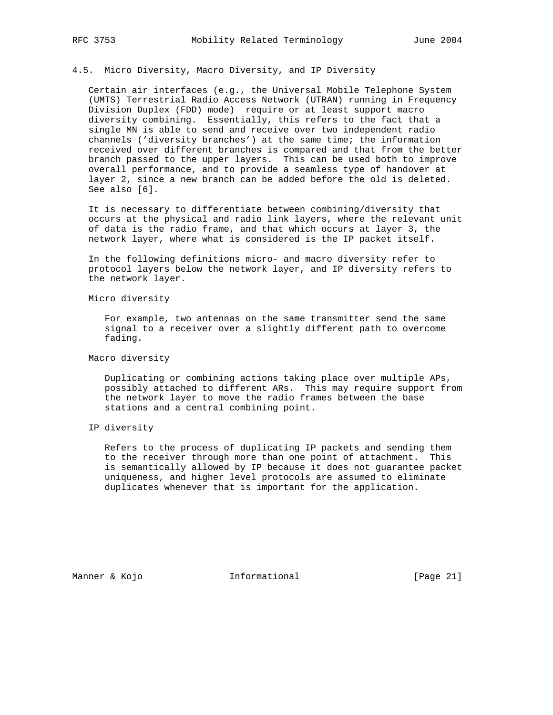## 4.5. Micro Diversity, Macro Diversity, and IP Diversity

 Certain air interfaces (e.g., the Universal Mobile Telephone System (UMTS) Terrestrial Radio Access Network (UTRAN) running in Frequency Division Duplex (FDD) mode) require or at least support macro diversity combining. Essentially, this refers to the fact that a single MN is able to send and receive over two independent radio channels ('diversity branches') at the same time; the information received over different branches is compared and that from the better branch passed to the upper layers. This can be used both to improve overall performance, and to provide a seamless type of handover at layer 2, since a new branch can be added before the old is deleted. See also [6].

 It is necessary to differentiate between combining/diversity that occurs at the physical and radio link layers, where the relevant unit of data is the radio frame, and that which occurs at layer 3, the network layer, where what is considered is the IP packet itself.

 In the following definitions micro- and macro diversity refer to protocol layers below the network layer, and IP diversity refers to the network layer.

Micro diversity

 For example, two antennas on the same transmitter send the same signal to a receiver over a slightly different path to overcome fading.

## Macro diversity

 Duplicating or combining actions taking place over multiple APs, possibly attached to different ARs. This may require support from the network layer to move the radio frames between the base stations and a central combining point.

## IP diversity

 Refers to the process of duplicating IP packets and sending them to the receiver through more than one point of attachment. This is semantically allowed by IP because it does not guarantee packet uniqueness, and higher level protocols are assumed to eliminate duplicates whenever that is important for the application.

Manner & Kojo **Informational** [Page 21]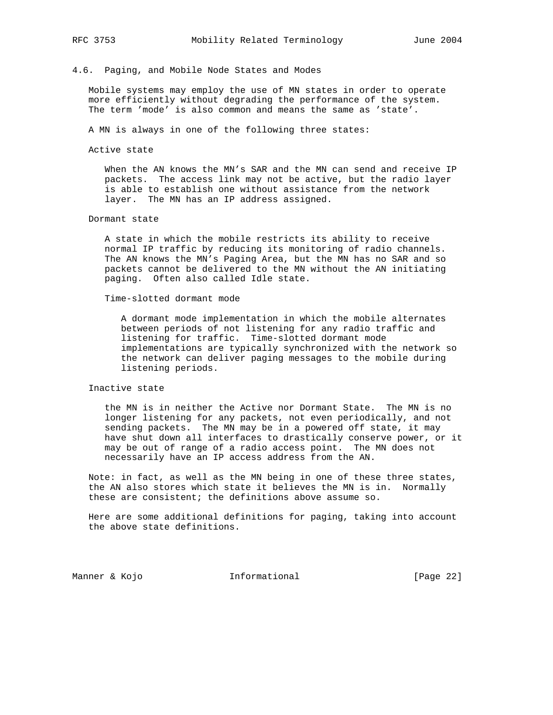#### 4.6. Paging, and Mobile Node States and Modes

 Mobile systems may employ the use of MN states in order to operate more efficiently without degrading the performance of the system. The term 'mode' is also common and means the same as 'state'.

A MN is always in one of the following three states:

Active state

 When the AN knows the MN's SAR and the MN can send and receive IP packets. The access link may not be active, but the radio layer is able to establish one without assistance from the network layer. The MN has an IP address assigned.

## Dormant state

 A state in which the mobile restricts its ability to receive normal IP traffic by reducing its monitoring of radio channels. The AN knows the MN's Paging Area, but the MN has no SAR and so packets cannot be delivered to the MN without the AN initiating paging. Often also called Idle state.

Time-slotted dormant mode

 A dormant mode implementation in which the mobile alternates between periods of not listening for any radio traffic and listening for traffic. Time-slotted dormant mode implementations are typically synchronized with the network so the network can deliver paging messages to the mobile during listening periods.

## Inactive state

 the MN is in neither the Active nor Dormant State. The MN is no longer listening for any packets, not even periodically, and not sending packets. The MN may be in a powered off state, it may have shut down all interfaces to drastically conserve power, or it may be out of range of a radio access point. The MN does not necessarily have an IP access address from the AN.

 Note: in fact, as well as the MN being in one of these three states, the AN also stores which state it believes the MN is in. Normally these are consistent; the definitions above assume so.

 Here are some additional definitions for paging, taking into account the above state definitions.

Manner & Kojo **Informational** [Page 22]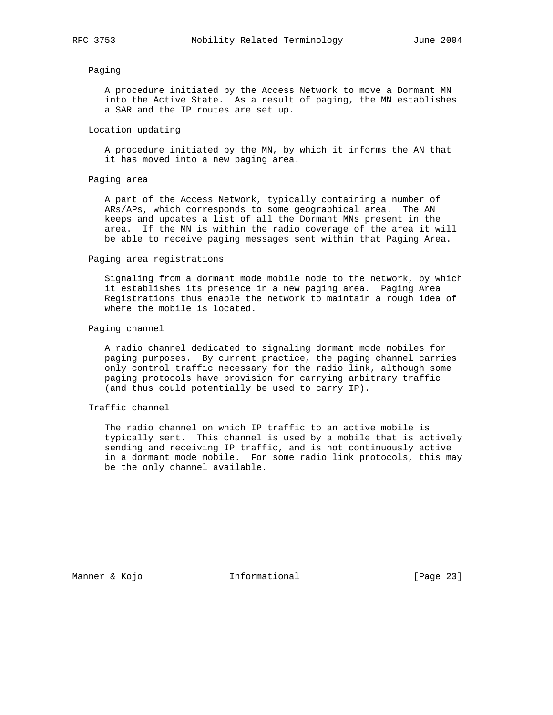#### Paging

 A procedure initiated by the Access Network to move a Dormant MN into the Active State. As a result of paging, the MN establishes a SAR and the IP routes are set up.

#### Location updating

 A procedure initiated by the MN, by which it informs the AN that it has moved into a new paging area.

## Paging area

 A part of the Access Network, typically containing a number of ARs/APs, which corresponds to some geographical area. The AN keeps and updates a list of all the Dormant MNs present in the area. If the MN is within the radio coverage of the area it will be able to receive paging messages sent within that Paging Area.

#### Paging area registrations

 Signaling from a dormant mode mobile node to the network, by which it establishes its presence in a new paging area. Paging Area Registrations thus enable the network to maintain a rough idea of where the mobile is located.

## Paging channel

 A radio channel dedicated to signaling dormant mode mobiles for paging purposes. By current practice, the paging channel carries only control traffic necessary for the radio link, although some paging protocols have provision for carrying arbitrary traffic (and thus could potentially be used to carry IP).

## Traffic channel

 The radio channel on which IP traffic to an active mobile is typically sent. This channel is used by a mobile that is actively sending and receiving IP traffic, and is not continuously active in a dormant mode mobile. For some radio link protocols, this may be the only channel available.

Manner & Kojo **Informational Informational** [Page 23]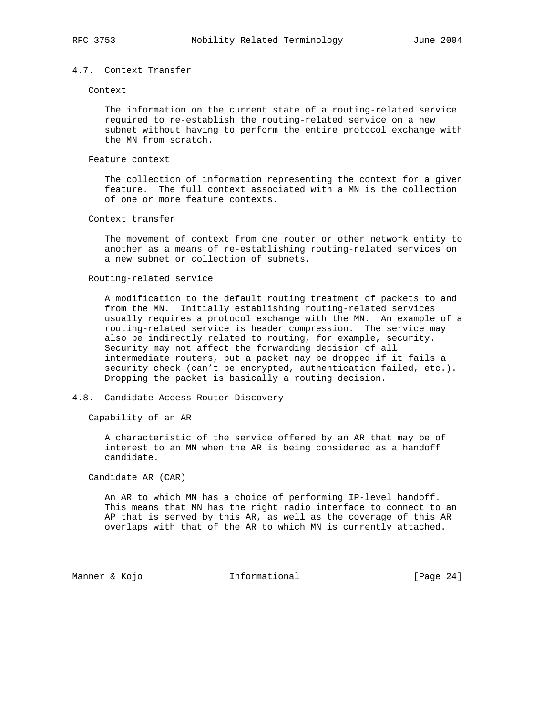## 4.7. Context Transfer

#### Context

 The information on the current state of a routing-related service required to re-establish the routing-related service on a new subnet without having to perform the entire protocol exchange with the MN from scratch.

## Feature context

 The collection of information representing the context for a given feature. The full context associated with a MN is the collection of one or more feature contexts.

## Context transfer

 The movement of context from one router or other network entity to another as a means of re-establishing routing-related services on a new subnet or collection of subnets.

## Routing-related service

 A modification to the default routing treatment of packets to and from the MN. Initially establishing routing-related services usually requires a protocol exchange with the MN. An example of a routing-related service is header compression. The service may also be indirectly related to routing, for example, security. Security may not affect the forwarding decision of all intermediate routers, but a packet may be dropped if it fails a security check (can't be encrypted, authentication failed, etc.). Dropping the packet is basically a routing decision.

## 4.8. Candidate Access Router Discovery

Capability of an AR

 A characteristic of the service offered by an AR that may be of interest to an MN when the AR is being considered as a handoff candidate.

Candidate AR (CAR)

 An AR to which MN has a choice of performing IP-level handoff. This means that MN has the right radio interface to connect to an AP that is served by this AR, as well as the coverage of this AR overlaps with that of the AR to which MN is currently attached.

Manner & Kojo **Informational** [Page 24]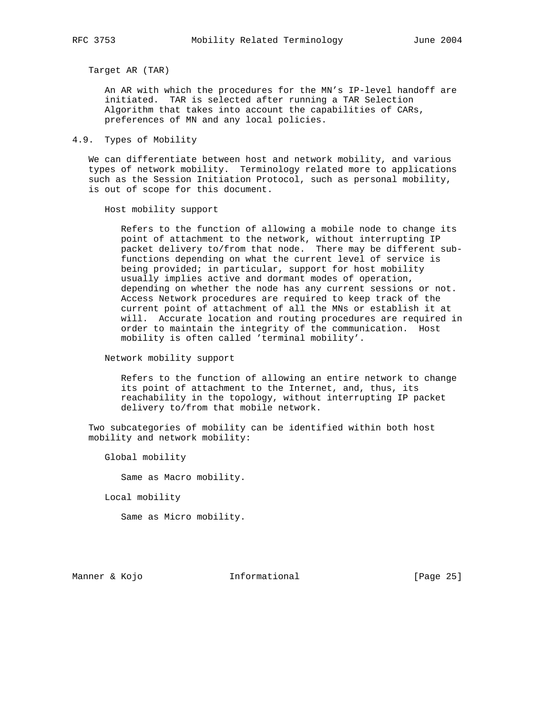Target AR (TAR)

 An AR with which the procedures for the MN's IP-level handoff are initiated. TAR is selected after running a TAR Selection Algorithm that takes into account the capabilities of CARs, preferences of MN and any local policies.

4.9. Types of Mobility

 We can differentiate between host and network mobility, and various types of network mobility. Terminology related more to applications such as the Session Initiation Protocol, such as personal mobility, is out of scope for this document.

Host mobility support

 Refers to the function of allowing a mobile node to change its point of attachment to the network, without interrupting IP packet delivery to/from that node. There may be different sub functions depending on what the current level of service is being provided; in particular, support for host mobility usually implies active and dormant modes of operation, depending on whether the node has any current sessions or not. Access Network procedures are required to keep track of the current point of attachment of all the MNs or establish it at will. Accurate location and routing procedures are required in order to maintain the integrity of the communication. Host mobility is often called 'terminal mobility'.

Network mobility support

 Refers to the function of allowing an entire network to change its point of attachment to the Internet, and, thus, its reachability in the topology, without interrupting IP packet delivery to/from that mobile network.

 Two subcategories of mobility can be identified within both host mobility and network mobility:

Global mobility

Same as Macro mobility.

Local mobility

Same as Micro mobility.

Manner & Kojo **Informational** [Page 25]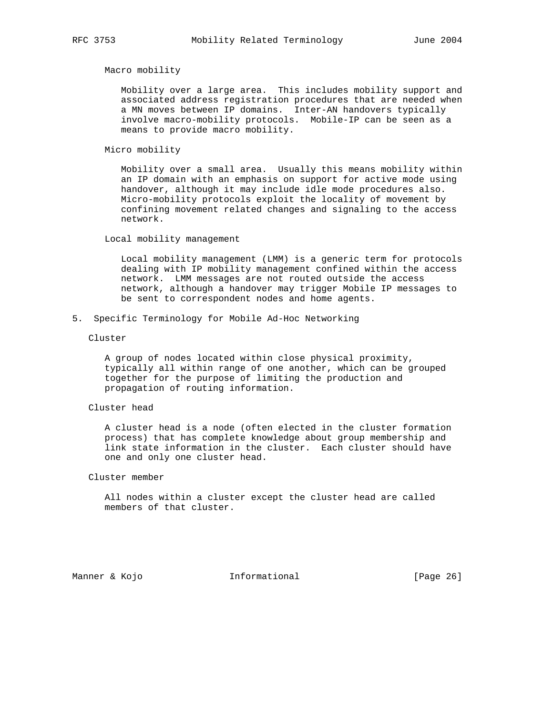Macro mobility

 Mobility over a large area. This includes mobility support and associated address registration procedures that are needed when a MN moves between IP domains. Inter-AN handovers typically involve macro-mobility protocols. Mobile-IP can be seen as a means to provide macro mobility.

Micro mobility

 Mobility over a small area. Usually this means mobility within an IP domain with an emphasis on support for active mode using handover, although it may include idle mode procedures also. Micro-mobility protocols exploit the locality of movement by confining movement related changes and signaling to the access network.

Local mobility management

 Local mobility management (LMM) is a generic term for protocols dealing with IP mobility management confined within the access network. LMM messages are not routed outside the access network, although a handover may trigger Mobile IP messages to be sent to correspondent nodes and home agents.

5. Specific Terminology for Mobile Ad-Hoc Networking

Cluster

 A group of nodes located within close physical proximity, typically all within range of one another, which can be grouped together for the purpose of limiting the production and propagation of routing information.

## Cluster head

 A cluster head is a node (often elected in the cluster formation process) that has complete knowledge about group membership and link state information in the cluster. Each cluster should have one and only one cluster head.

Cluster member

 All nodes within a cluster except the cluster head are called members of that cluster.

Manner & Kojo **Informational** [Page 26]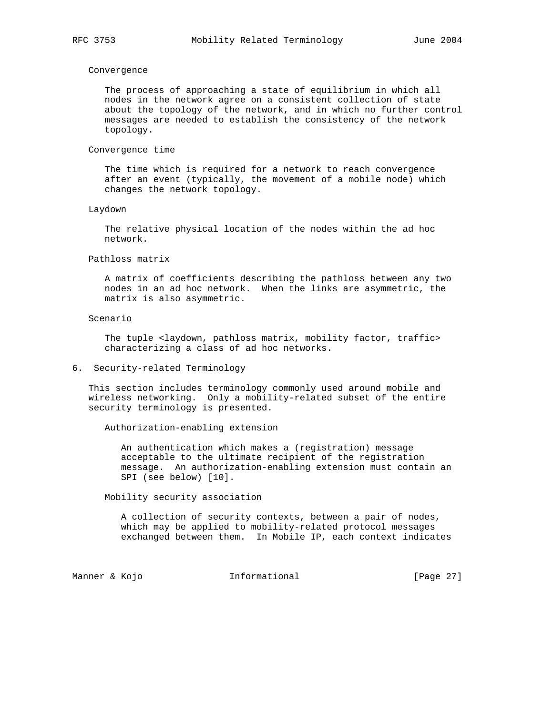#### Convergence

 The process of approaching a state of equilibrium in which all nodes in the network agree on a consistent collection of state about the topology of the network, and in which no further control messages are needed to establish the consistency of the network topology.

#### Convergence time

 The time which is required for a network to reach convergence after an event (typically, the movement of a mobile node) which changes the network topology.

#### Laydown

 The relative physical location of the nodes within the ad hoc network.

#### Pathloss matrix

 A matrix of coefficients describing the pathloss between any two nodes in an ad hoc network. When the links are asymmetric, the matrix is also asymmetric.

#### Scenario

The tuple <laydown, pathloss matrix, mobility factor, traffic> characterizing a class of ad hoc networks.

## 6. Security-related Terminology

 This section includes terminology commonly used around mobile and wireless networking. Only a mobility-related subset of the entire security terminology is presented.

Authorization-enabling extension

 An authentication which makes a (registration) message acceptable to the ultimate recipient of the registration message. An authorization-enabling extension must contain an SPI (see below) [10].

Mobility security association

 A collection of security contexts, between a pair of nodes, which may be applied to mobility-related protocol messages exchanged between them. In Mobile IP, each context indicates

Manner & Kojo **Informational** [Page 27]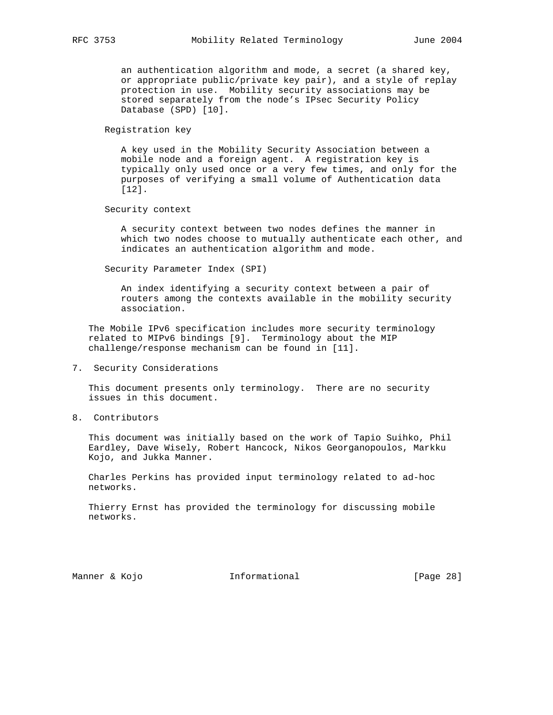an authentication algorithm and mode, a secret (a shared key, or appropriate public/private key pair), and a style of replay protection in use. Mobility security associations may be stored separately from the node's IPsec Security Policy Database (SPD) [10].

Registration key

 A key used in the Mobility Security Association between a mobile node and a foreign agent. A registration key is typically only used once or a very few times, and only for the purposes of verifying a small volume of Authentication data [12].

Security context

 A security context between two nodes defines the manner in which two nodes choose to mutually authenticate each other, and indicates an authentication algorithm and mode.

Security Parameter Index (SPI)

 An index identifying a security context between a pair of routers among the contexts available in the mobility security association.

 The Mobile IPv6 specification includes more security terminology related to MIPv6 bindings [9]. Terminology about the MIP challenge/response mechanism can be found in [11].

7. Security Considerations

 This document presents only terminology. There are no security issues in this document.

8. Contributors

 This document was initially based on the work of Tapio Suihko, Phil Eardley, Dave Wisely, Robert Hancock, Nikos Georganopoulos, Markku Kojo, and Jukka Manner.

 Charles Perkins has provided input terminology related to ad-hoc networks.

 Thierry Ernst has provided the terminology for discussing mobile networks.

Manner & Kojo **Informational** [Page 28]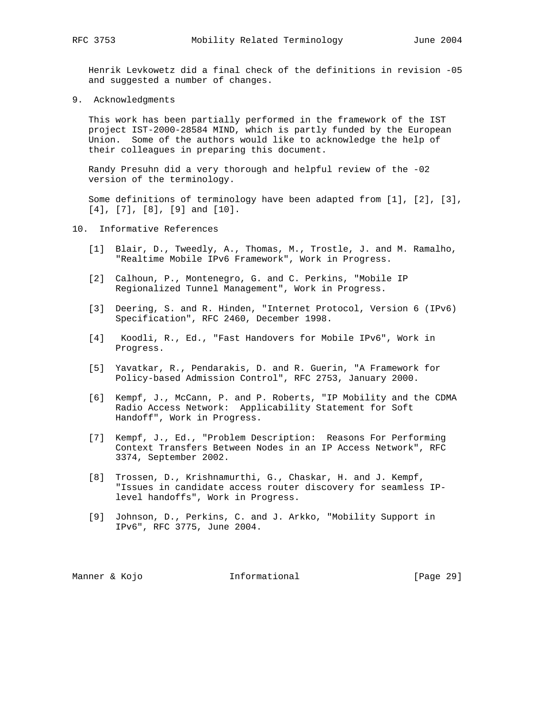Henrik Levkowetz did a final check of the definitions in revision -05 and suggested a number of changes.

9. Acknowledgments

 This work has been partially performed in the framework of the IST project IST-2000-28584 MIND, which is partly funded by the European Union. Some of the authors would like to acknowledge the help of their colleagues in preparing this document.

 Randy Presuhn did a very thorough and helpful review of the -02 version of the terminology.

 Some definitions of terminology have been adapted from [1], [2], [3], [4], [7], [8], [9] and [10].

- 10. Informative References
	- [1] Blair, D., Tweedly, A., Thomas, M., Trostle, J. and M. Ramalho, "Realtime Mobile IPv6 Framework", Work in Progress.
	- [2] Calhoun, P., Montenegro, G. and C. Perkins, "Mobile IP Regionalized Tunnel Management", Work in Progress.
	- [3] Deering, S. and R. Hinden, "Internet Protocol, Version 6 (IPv6) Specification", RFC 2460, December 1998.
	- [4] Koodli, R., Ed., "Fast Handovers for Mobile IPv6", Work in Progress.
	- [5] Yavatkar, R., Pendarakis, D. and R. Guerin, "A Framework for Policy-based Admission Control", RFC 2753, January 2000.
	- [6] Kempf, J., McCann, P. and P. Roberts, "IP Mobility and the CDMA Radio Access Network: Applicability Statement for Soft Handoff", Work in Progress.
	- [7] Kempf, J., Ed., "Problem Description: Reasons For Performing Context Transfers Between Nodes in an IP Access Network", RFC 3374, September 2002.
	- [8] Trossen, D., Krishnamurthi, G., Chaskar, H. and J. Kempf, "Issues in candidate access router discovery for seamless IP level handoffs", Work in Progress.
	- [9] Johnson, D., Perkins, C. and J. Arkko, "Mobility Support in IPv6", RFC 3775, June 2004.

Manner & Kojo **Informational** [Page 29]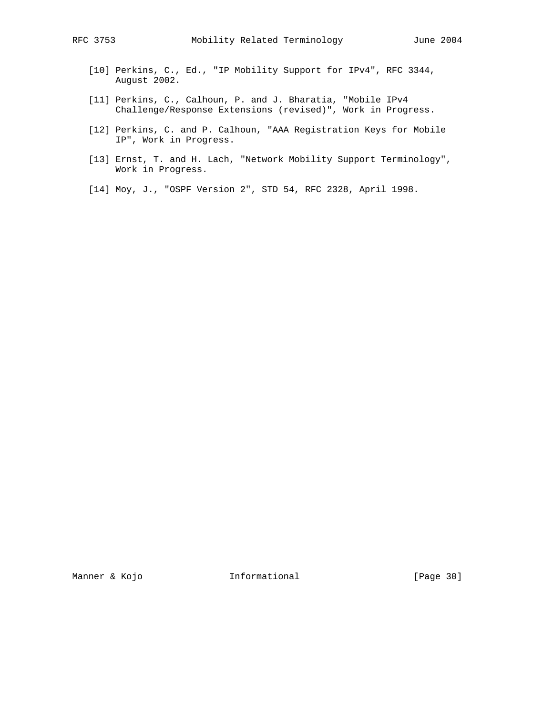- [10] Perkins, C., Ed., "IP Mobility Support for IPv4", RFC 3344, August 2002.
- [11] Perkins, C., Calhoun, P. and J. Bharatia, "Mobile IPv4 Challenge/Response Extensions (revised)", Work in Progress.
- [12] Perkins, C. and P. Calhoun, "AAA Registration Keys for Mobile IP", Work in Progress.
- [13] Ernst, T. and H. Lach, "Network Mobility Support Terminology", Work in Progress.
- [14] Moy, J., "OSPF Version 2", STD 54, RFC 2328, April 1998.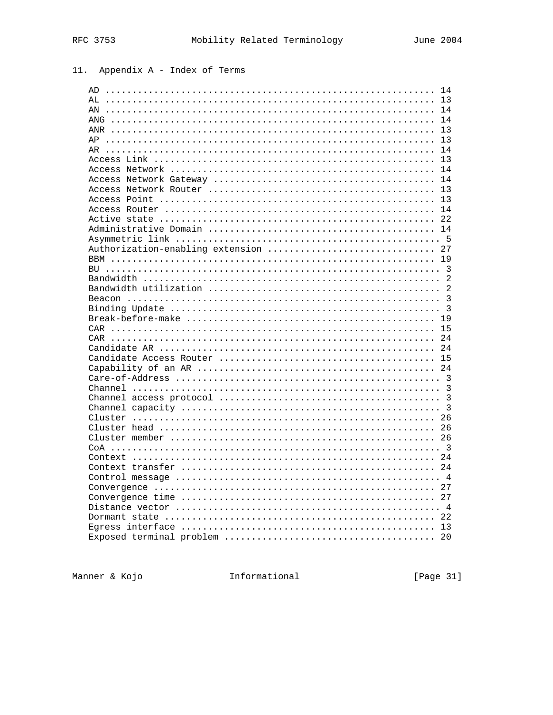# 11. Appendix A - Index of Terms

| AD                               | 14             |
|----------------------------------|----------------|
| AL                               | 13             |
| ΑN                               | 14             |
|                                  | 14             |
|                                  | 13             |
| AP                               | 13             |
| AR                               | 14             |
|                                  | 13             |
|                                  | 14             |
|                                  |                |
|                                  |                |
|                                  |                |
|                                  | 14             |
|                                  |                |
|                                  |                |
|                                  |                |
| Authorization-enabling extension | 27             |
|                                  | 19             |
|                                  |                |
|                                  |                |
|                                  | $\mathfrak{D}$ |
|                                  |                |
|                                  |                |
|                                  |                |
|                                  |                |
|                                  | 15             |
|                                  |                |
|                                  |                |
|                                  |                |
|                                  |                |
|                                  |                |
|                                  |                |
|                                  |                |
|                                  | 3              |
|                                  |                |
|                                  |                |
|                                  |                |
|                                  |                |
|                                  | 2.4            |
|                                  | 24             |
|                                  |                |
|                                  | 27             |
|                                  |                |
|                                  |                |
|                                  | 2.2            |
|                                  |                |
|                                  | 20             |

Manner & Kojo Manner and Theorem ational

[Page 31]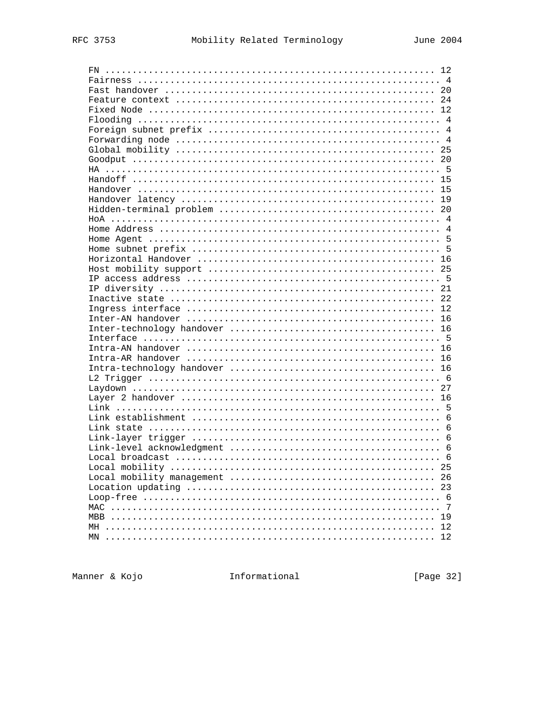| FN         |    |
|------------|----|
|            |    |
|            |    |
|            |    |
|            |    |
|            |    |
|            |    |
|            |    |
|            |    |
|            |    |
|            |    |
|            |    |
|            |    |
|            |    |
|            |    |
|            |    |
|            |    |
|            |    |
|            |    |
|            |    |
|            |    |
|            |    |
|            |    |
|            |    |
|            |    |
|            |    |
|            |    |
|            |    |
|            |    |
|            |    |
|            |    |
|            |    |
|            |    |
|            |    |
|            |    |
|            |    |
|            |    |
|            |    |
|            | 6  |
|            |    |
|            |    |
|            | 25 |
|            | 26 |
|            | 23 |
|            |    |
|            | -7 |
| <b>MBB</b> | 19 |
| MH         | 12 |
| MN         | 12 |
|            |    |

Manner & Kojo <a>
Manner <a>
Manner <a>
Manner <a>
Manner <a>
Manner <a>
Manner <a>
Manner <a>
Manner <a>
Manner <a</a>
Manner <a>
Manner <a</a>
Manner <a>
Manner <a</a>
Manner <a</a>
Manner <a</a>
Manner <a</a>
Manner <a<

[Page 32]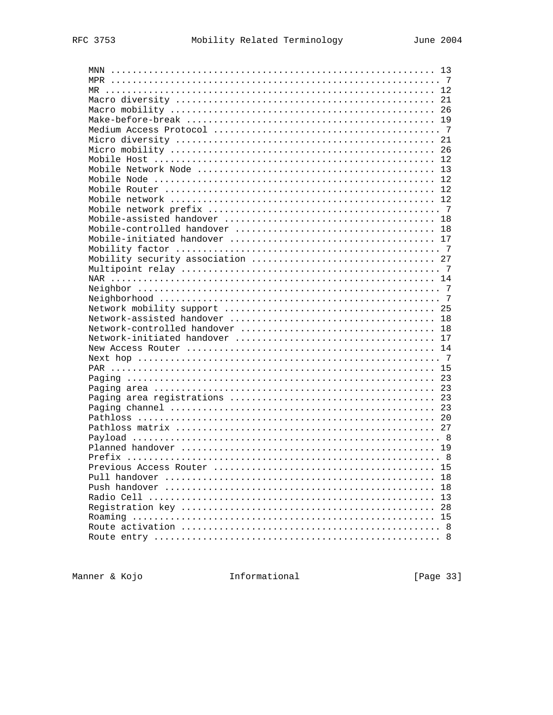| MNN |              |
|-----|--------------|
|     |              |
|     |              |
|     |              |
|     |              |
|     |              |
|     |              |
|     |              |
|     |              |
|     |              |
|     |              |
|     |              |
|     |              |
|     |              |
|     |              |
|     |              |
|     |              |
|     |              |
|     |              |
|     |              |
|     |              |
|     |              |
|     |              |
|     |              |
|     |              |
|     |              |
|     |              |
|     |              |
|     |              |
|     |              |
|     |              |
|     |              |
|     |              |
|     |              |
|     |              |
|     |              |
|     |              |
|     |              |
|     |              |
|     |              |
|     |              |
|     |              |
|     |              |
|     |              |
|     |              |
|     |              |
|     |              |
|     |              |
|     |              |
|     | $\mathsf{R}$ |

Manner & Kojo <a>
Manner <a>
Manner <a>
Manner <a>
Manner <a>
Manner <a>
Manner <a>
Manner <a>
Manner <a>
Manner <a</a>
Manner <a>
Manner <a</a>
Manner <a>
Manner <a</a>
Manner <a</a>
Manner <a</a>
Manner <a</a>
Manner <a<

[Page 33]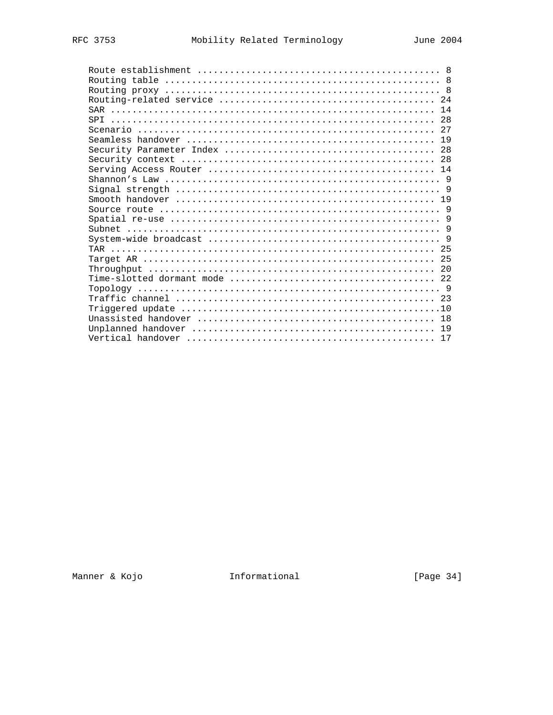| 17 |
|----|

Manner & Kojo <a>
Manner <a>
Manner <a>
Manner <a>
Manner <a>
Manner <a>
Manner <a>
Manner <a>
Manner <a>
Manner <a</a>
Manner <a>
Manner <a</a>
Manner <a>
Manner <a</a>
Manner <a</a>
Manner <a</a>
Manner <a</a>
Manner <a<

[Page 34]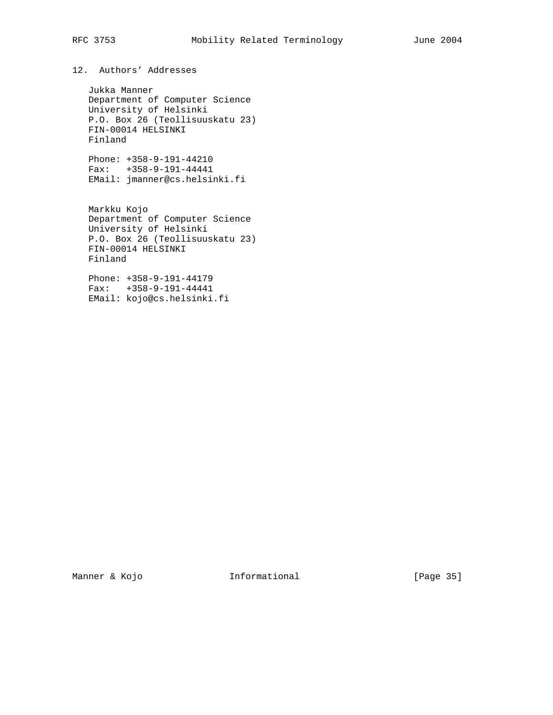# RFC 3753 Mobility Related Terminology June 2004

# 12. Authors' Addresses

 Jukka Manner Department of Computer Science University of Helsinki P.O. Box 26 (Teollisuuskatu 23) FIN-00014 HELSINKI Finland

 Phone: +358-9-191-44210 Fax: +358-9-191-44441 EMail: jmanner@cs.helsinki.fi

 Markku Kojo Department of Computer Science University of Helsinki P.O. Box 26 (Teollisuuskatu 23) FIN-00014 HELSINKI Finland

 Phone: +358-9-191-44179 Fax: +358-9-191-44441 EMail: kojo@cs.helsinki.fi